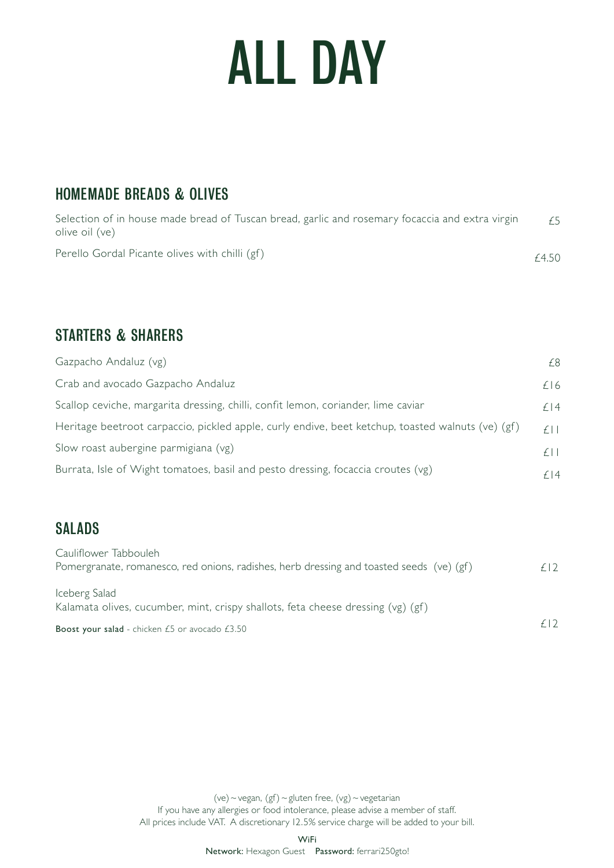# ALL DAY

## HOMEMADE BREADS & OLIVES

| Selection of in house made bread of Tuscan bread, garlic and rosemary focaccia and extra virgin<br>olive oil (ve) | £5    |
|-------------------------------------------------------------------------------------------------------------------|-------|
| Perello Gordal Picante olives with chilli (gf)                                                                    | £4.50 |

### STARTERS & SHARERS

| Gazpacho Andaluz (vg)                                                                             | F8.       |
|---------------------------------------------------------------------------------------------------|-----------|
| Crab and avocado Gazpacho Andaluz                                                                 | £16       |
| Scallop ceviche, margarita dressing, chilli, confit lemon, coriander, lime caviar                 | f 4       |
| Heritage beetroot carpaccio, pickled apple, curly endive, beet ketchup, toasted walnuts (ve) (gf) | $f \perp$ |
| Slow roast aubergine parmigiana (vg)                                                              | $f \perp$ |
| Burrata, Isle of Wight tomatoes, basil and pesto dressing, focaccia croutes (vg)                  | f 4       |

# SALADS

| <b>Boost your salad</b> - chicken $E_5$ or avocado $E_3.50$                                                       | f(2) |
|-------------------------------------------------------------------------------------------------------------------|------|
| Iceberg Salad<br>Kalamata olives, cucumber, mint, crispy shallots, feta cheese dressing $(vg)$ (gf)               |      |
| Cauliflower Tabbouleh<br>Pomergranate, romanesco, red onions, radishes, herb dressing and toasted seeds (ve) (gf) | f(2) |

(ve) ~ vegan,  $(gf)$  ~ gluten free,  $(vg)$  ~ vegetarian If you have any allergies or food intolerance, please advise a member of staff. All prices include VAT. A discretionary 12.5% service charge will be added to your bill.

WiFi

Network: Hexagon Guest Password: ferrari250gto!